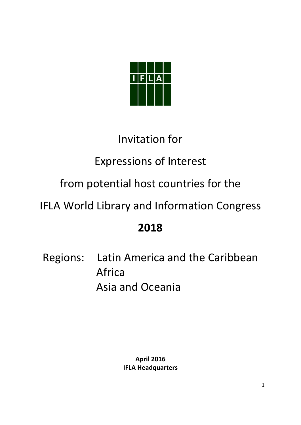

# Invitation for

# Expressions of Interest

# from potential host countries for the

# IFLA World Library and Information Congress

# **2018**

Regions: Latin America and the Caribbean Africa Asia and Oceania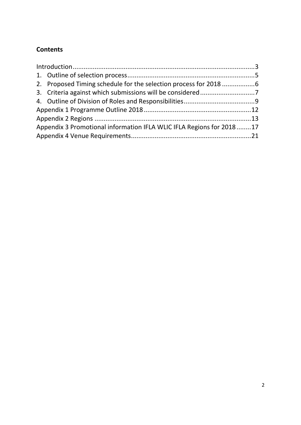## **Contents**

| Appendix 3 Promotional information IFLA WLIC IFLA Regions for 201817 |  |
|----------------------------------------------------------------------|--|
|                                                                      |  |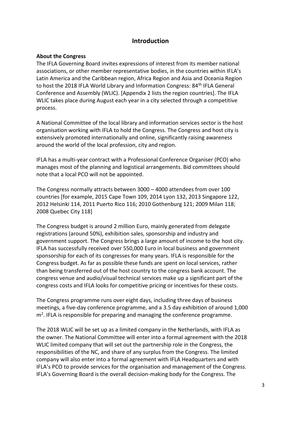### **Introduction**

#### **About the Congress**

The IFLA Governing Board invites expressions of interest from its member national associations, or other member representative bodies, in the countries within IFLA's Latin America and the Caribbean region, Africa Region and Asia and Oceania Region to host the 2018 IFLA World Library and Information Congress: 84<sup>th</sup> IFLA General Conference and Assembly (WLIC). [Appendix 2 lists the region countries]. The IFLA WLIC takes place during August each year in a city selected through a competitive process.

A National Committee of the local library and information services sector is the host organisation working with IFLA to hold the Congress. The Congress and host city is extensively promoted internationally and online, significantly raising awareness around the world of the local profession, city and region.

IFLA has a multi-year contract with a Professional Conference Organiser (PCO) who manages most of the planning and logistical arrangements. Bid committees should note that a local PCO will not be appointed.

The Congress normally attracts between 3000 – 4000 attendees from over 100 countries [for example, 2015 Cape Town 109, 2014 Lyon 132, 2013 Singapore 122, 2012 Helsinki 114, 2011 Puerto Rico 116; 2010 Gothenburg 121; 2009 Milan 118; 2008 Quebec City 118]

The Congress budget is around 2 million Euro, mainly generated from delegate registrations (around 50%), exhibition sales, sponsorship and industry and government support. The Congress brings a large amount of income to the host city. IFLA has successfully received over 550,000 Euro in local business and government sponsorship for each of its congresses for many years. IFLA is responsible for the Congress budget. As far as possible these funds are spent on local services, rather than being transferred out of the host country to the congress bank account. The congress venue and audio/visual technical services make up a significant part of the congress costs and IFLA looks for competitive pricing or incentives for these costs.

The Congress programme runs over eight days, including three days of business meetings, a five-day conference programme, and a 3.5 day exhibition of around 1,000 m<sup>2</sup>. IFLA is responsible for preparing and managing the conference programme.

The 2018 WLIC will be set up as a limited company in the Netherlands, with IFLA as the owner. The National Committee will enter into a formal agreement with the 2018 WLIC limited company that will set out the partnership role in the Congress, the responsibilities of the NC, and share of any surplus from the Congress. The limited company will also enter into a formal agreement with IFLA Headquarters and with IFLA's PCO to provide services for the organisation and management of the Congress. IFLA's Governing Board is the overall decision-making body for the Congress. The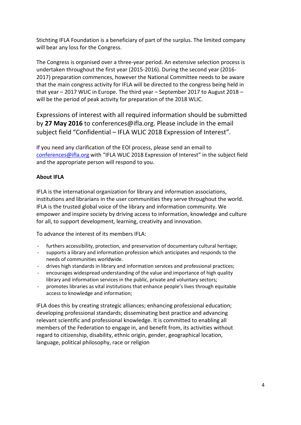Stichting IFLA Foundation is a beneficiary of part of the surplus. The limited company will bear any loss for the Congress.

The Congress is organised over a three-year period. An extensive selection process is undertaken throughout the first year (2015-2016). During the second year (2016- 2017) preparation commences, however the National Committee needs to be aware that the main congress activity for IFLA will be directed to the congress being held in that year – 2017 WLIC in Europe. The third year – September 2017 to August 2018 – will be the period of peak activity for preparation of the 2018 WLIC.

Expressions of interest with all required information should be submitted by **27 May 2016** to conferences@ifla.org. Please include in the email subject field "Confidential – IFLA WLIC 2018 Expression of Interest".

If you need any clarification of the EOI process, please send an email to [conferences@ifla.org](mailto:conferences@ifla.org) with "IFLA WLIC 2018 Expression of Interest" in the subject field and the appropriate person will respond to you.

#### **About IFLA**

IFLA is the international organization for library and information associations, institutions and librarians in the user communities they serve throughout the world. IFLA is the trusted global voice of the library and information community. We empower and inspire society by driving access to information, knowledge and culture for all, to support development, learning, creativity and innovation.

To advance the interest of its members IFLA:

- furthers accessibility, protection, and preservation of documentary cultural heritage;
- supports a library and information profession which anticipates and responds to the needs of communities worldwide.
- drives high standards in library and information services and professional practices;
- encourages widespread understanding of the value and importance of high quality library and information services in the public, private and voluntary sectors;
- promotes libraries as vital institutions that enhance people's lives through equitable access to knowledge and information;

IFLA does this by creating strategic alliances; enhancing professional education; developing professional standards; disseminating best practice and advancing relevant scientific and professional knowledge. It is committed to enabling all members of the Federation to engage in, and benefit from, its activities without regard to citizenship, disability, ethnic origin, gender, geographical location, language, political philosophy, race or religion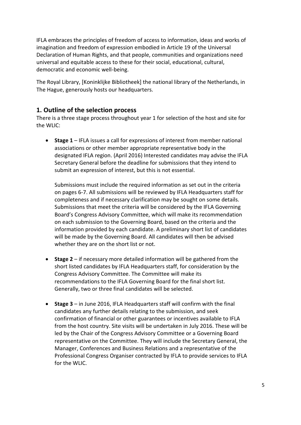IFLA embraces the principles of freedom of access to information, ideas and works of imagination and freedom of expression embodied in Article 19 of the Universal Declaration of Human Rights, and that people, communities and organizations need universal and equitable access to these for their social, educational, cultural, democratic and economic well-being.

The Royal Library, [Koninklijke Bibliotheek] the national library of the Netherlands, in The Hague, generously hosts our headquarters.

## **1. Outline of the selection process**

There is a three stage process throughout year 1 for selection of the host and site for the WLIC:

 **Stage 1** – IFLA issues a call for expressions of interest from member national associations or other member appropriate representative body in the designated IFLA region. (April 2016) Interested candidates may advise the IFLA Secretary General before the deadline for submissions that they intend to submit an expression of interest, but this is not essential.

Submissions must include the required information as set out in the criteria on pages 6-7. All submissions will be reviewed by IFLA Headquarters staff for completeness and if necessary clarification may be sought on some details. Submissions that meet the criteria will be considered by the IFLA Governing Board's Congress Advisory Committee, which will make its recommendation on each submission to the Governing Board, based on the criteria and the information provided by each candidate. A preliminary short list of candidates will be made by the Governing Board. All candidates will then be advised whether they are on the short list or not.

- **Stage 2** if necessary more detailed information will be gathered from the short listed candidates by IFLA Headquarters staff, for consideration by the Congress Advisory Committee. The Committee will make its recommendations to the IFLA Governing Board for the final short list. Generally, two or three final candidates will be selected.
- **Stage 3** in June 2016, IFLA Headquarters staff will confirm with the final candidates any further details relating to the submission, and seek confirmation of financial or other guarantees or incentives available to IFLA from the host country. Site visits will be undertaken in July 2016. These will be led by the Chair of the Congress Advisory Committee or a Governing Board representative on the Committee. They will include the Secretary General, the Manager, Conferences and Business Relations and a representative of the Professional Congress Organiser contracted by IFLA to provide services to IFLA for the WLIC.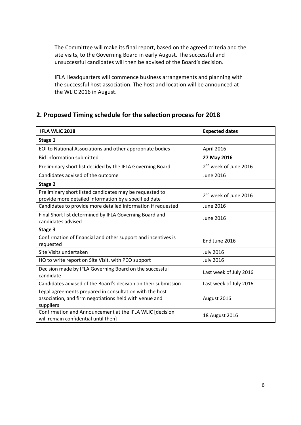The Committee will make its final report, based on the agreed criteria and the site visits, to the Governing Board in early August. The successful and unsuccessful candidates will then be advised of the Board's decision.

IFLA Headquarters will commence business arrangements and planning with the successful host association. The host and location will be announced at the WLIC 2016 in August.

## **2. Proposed Timing schedule for the selection process for 2018**

| <b>IFLA WLIC 2018</b>                                                                                                          | <b>Expected dates</b>             |
|--------------------------------------------------------------------------------------------------------------------------------|-----------------------------------|
| Stage 1                                                                                                                        |                                   |
| EOI to National Associations and other appropriate bodies                                                                      | April 2016                        |
| <b>Bid information submitted</b>                                                                                               | 27 May 2016                       |
| Preliminary short list decided by the IFLA Governing Board                                                                     | 2 <sup>nd</sup> week of June 2016 |
| Candidates advised of the outcome                                                                                              | <b>June 2016</b>                  |
| Stage 2                                                                                                                        |                                   |
| Preliminary short listed candidates may be requested to<br>provide more detailed information by a specified date               | 2 <sup>nd</sup> week of June 2016 |
| Candidates to provide more detailed information if requested                                                                   | <b>June 2016</b>                  |
| Final Short list determined by IFLA Governing Board and<br>candidates advised                                                  | <b>June 2016</b>                  |
| Stage 3                                                                                                                        |                                   |
| Confirmation of financial and other support and incentives is<br>requested                                                     | End June 2016                     |
| Site Visits undertaken                                                                                                         | <b>July 2016</b>                  |
| HQ to write report on Site Visit, with PCO support                                                                             | <b>July 2016</b>                  |
| Decision made by IFLA Governing Board on the successful<br>candidate                                                           | Last week of July 2016            |
| Candidates advised of the Board's decision on their submission                                                                 | Last week of July 2016            |
| Legal agreements prepared in consultation with the host<br>association, and firm negotiations held with venue and<br>suppliers | August 2016                       |
| Confirmation and Announcement at the IFLA WLIC [decision<br>will remain confidential until then]                               | 18 August 2016                    |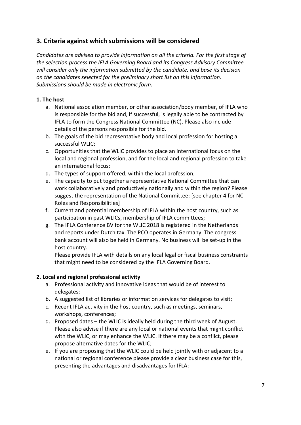## **3. Criteria against which submissions will be considered**

*Candidates are advised to provide information on all the criteria. For the first stage of the selection process the IFLA Governing Board and its Congress Advisory Committee will consider only the information submitted by the candidate, and base its decision on the candidates selected for the preliminary short list on this information. Submissions should be made in electronic form.* 

#### **1. The host**

- a. National association member, or other association/body member, of IFLA who is responsible for the bid and, if successful, is legally able to be contracted by IFLA to form the Congress National Committee (NC). Please also include details of the persons responsible for the bid.
- b. The goals of the bid representative body and local profession for hosting a successful WLIC;
- c. Opportunities that the WLIC provides to place an international focus on the local and regional profession, and for the local and regional profession to take an international focus;
- d. The types of support offered, within the local profession;
- e. The capacity to put together a representative National Committee that can work collaboratively and productively nationally and within the region? Please suggest the representation of the National Committee; [see chapter 4 for NC Roles and Responsibilities]
- f. Current and potential membership of IFLA within the host country, such as participation in past WLICs, membership of IFLA committees;
- g. The IFLA Conference BV for the WLIC 2018 is registered in the Netherlands and reports under Dutch tax. The PCO operates in Germany. The congress bank account will also be held in Germany. No business will be set-up in the host country.

Please provide IFLA with details on any local legal or fiscal business constraints that might need to be considered by the IFLA Governing Board.

#### **2. Local and regional professional activity**

- a. Professional activity and innovative ideas that would be of interest to delegates;
- b. A suggested list of libraries or information services for delegates to visit;
- c. Recent IFLA activity in the host country, such as meetings, seminars, workshops, conferences;
- d. Proposed dates the WLIC is ideally held during the third week of August. Please also advise if there are any local or national events that might conflict with the WLIC, or may enhance the WLIC. If there may be a conflict, please propose alternative dates for the WLIC;
- e. If you are proposing that the WLIC could be held jointly with or adjacent to a national or regional conference please provide a clear business case for this, presenting the advantages and disadvantages for IFLA;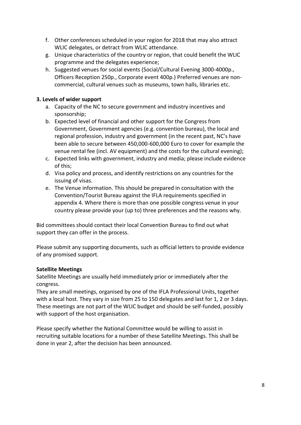- f. Other conferences scheduled in your region for 2018 that may also attract WLIC delegates, or detract from WLIC attendance.
- g. Unique characteristics of the country or region, that could benefit the WLIC programme and the delegates experience;
- h. Suggested venues for social events (Social/Cultural Evening 3000-4000p., Officers Reception 250p., Corporate event 400p.) Preferred venues are noncommercial, cultural venues such as museums, town halls, libraries etc.

#### **3. Levels of wider support**

- a. Capacity of the NC to secure government and industry incentives and sponsorship;
- b. Expected level of financial and other support for the Congress from Government, Government agencies (e.g. convention bureau), the local and regional profession, industry and government (in the recent past, NC's have been able to secure between 450,000-600,000 Euro to cover for example the venue rental fee (incl. AV equipment) and the costs for the cultural evening);
- c. Expected links with government, industry and media; please include evidence of this;
- d. Visa policy and process, and identify restrictions on any countries for the issuing of visas.
- e. The Venue information. This should be prepared in consultation with the Convention/Tourist Bureau against the IFLA requirements specified in appendix 4. Where there is more than one possible congress venue in your country please provide your (up to) three preferences and the reasons why.

Bid committees should contact their local Convention Bureau to find out what support they can offer in the process.

Please submit any supporting documents, such as official letters to provide evidence of any promised support.

#### **Satellite Meetings**

Satellite Meetings are usually held immediately prior or immediately after the congress.

They are small meetings, organised by one of the IFLA Professional Units, together with a local host. They vary in size from 25 to 150 delegates and last for 1, 2 or 3 days. These meetings are not part of the WLIC budget and should be self-funded, possibly with support of the host organisation.

Please specify whether the National Committee would be willing to assist in recruiting suitable locations for a number of these Satellite Meetings. This shall be done in year 2, after the decision has been announced.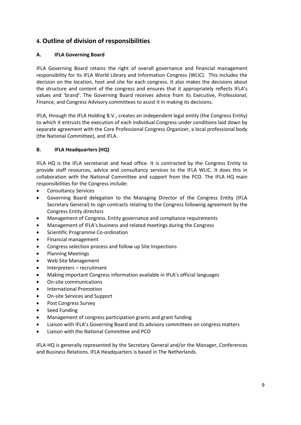## **4. Outline of division of responsibilities**

#### **A. IFLA Governing Board**

IFLA Governing Board retains the right of overall governance and financial management responsibility for its IFLA World Library and Information Congress (WLIC). This includes the decision on the location, host and site for each congress. It also makes the decisions about the structure and content of the congress and ensures that it appropriately reflects IFLA's values and 'brand'. The Governing Board receives advice from its Executive, Professional, Finance, and Congress Advisory committees to assist it in making its decisions.

IFLA, through the IFLA Holding B.V., creates an independent legal entity (the Congress Entity) to which it entrusts the execution of each individual Congress under conditions laid down by separate agreement with the Core Professional Congress Organizer, a local professional body (the National Committee), and IFLA.

#### **B. IFLA Headquarters (HQ)**

IFLA HQ is the IFLA secretariat and head office. It is contracted by the Congress Entity to provide staff resources, advice and consultancy services to the IFLA WLIC. It does this in collaboration with the National Committee and support from the PCO. The IFLA HQ main responsibilities for the Congress include:

- Consultancy Services
- Governing Board delegation to the Managing Director of the Congress Entity (IFLA Secretary General) to sign contracts relating to the Congress following agreement by the Congress Entity directors
- Management of Congress. Entity governance and compliance requirements
- Management of IFLA's business and related meetings during the Congress
- Scientific Programme Co-ordination
- Financial management
- Congress selection process and follow up Site Inspections
- Planning Meetings
- Web Site Management
- Interpreters recruitment
- Making important Congress information available in IFLA's official languages
- On-site communications
- International Promotion
- On-site Services and Support
- Post Congress Survey
- Seed Funding
- Management of congress participation grants and grant funding
- Liaison with IFLA's Governing Board and its advisory committees on congress matters
- Liaison with the National Committee and PCO

IFLA HQ is generally represented by the Secretary General and/or the Manager, Conferences and Business Relations. IFLA Headquarters is based in The Netherlands.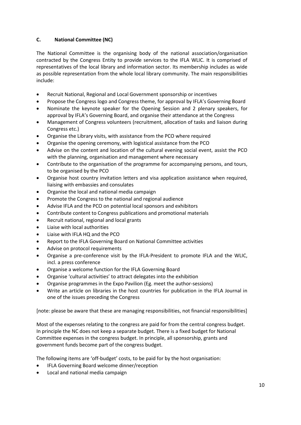#### **C. National Committee (NC)**

The National Committee is the organising body of the national association/organisation contracted by the Congress Entity to provide services to the IFLA WLIC. It is comprised of representatives of the local library and information sector. Its membership includes as wide as possible representation from the whole local library community. The main responsibilities include:

- Recruit National, Regional and Local Government sponsorship or incentives
- Propose the Congress logo and Congress theme, for approval by IFLA's Governing Board
- Nominate the keynote speaker for the Opening Session and 2 plenary speakers, for approval by IFLA's Governing Board, and organise their attendance at the Congress
- Management of Congress volunteers (recruitment, allocation of tasks and liaison during Congress etc.)
- Organise the Library visits, with assistance from the PCO where required
- Organise the opening ceremony, with logistical assistance from the PCO
- Advise on the content and location of the cultural evening social event, assist the PCO with the planning, organisation and management where necessary
- Contribute to the organisation of the programme for accompanying persons, and tours, to be organised by the PCO
- Organise host country invitation letters and visa application assistance when required, liaising with embassies and consulates
- Organise the local and national media campaign
- Promote the Congress to the national and regional audience
- Advise IFLA and the PCO on potential local sponsors and exhibitors
- Contribute content to Congress publications and promotional materials
- Recruit national, regional and local grants
- Liaise with local authorities
- Liaise with IFLA HQ and the PCO
- Report to the IFLA Governing Board on National Committee activities
- Advise on protocol requirements
- Organise a pre-conference visit by the IFLA-President to promote IFLA and the WLIC, incl. a press conference
- Organise a welcome function for the IFLA Governing Board
- Organise 'cultural activities' to attract delegates into the exhibition
- Organise programmes in the Expo Pavilion (Eg. meet the author-sessions)
- Write an article on libraries in the host countries for publication in the IFLA Journal in one of the issues preceding the Congress

[note: please be aware that these are managing responsibilities, not financial responsibilities]

Most of the expenses relating to the congress are paid for from the central congress budget. In principle the NC does not keep a separate budget. There is a fixed budget for National Committee expenses in the congress budget. In principle, all sponsorship, grants and government funds become part of the congress budget.

The following items are 'off-budget' costs, to be paid for by the host organisation:

- IFLA Governing Board welcome dinner/reception
- Local and national media campaign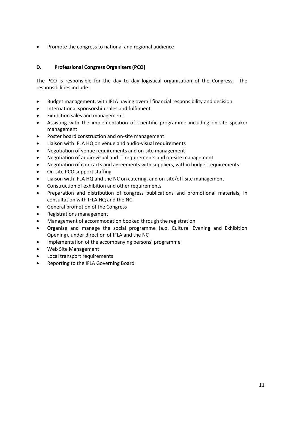Promote the congress to national and regional audience

#### **D. Professional Congress Organisers (PCO)**

The PCO is responsible for the day to day logistical organisation of the Congress. The responsibilities include:

- Budget management, with IFLA having overall financial responsibility and decision
- International sponsorship sales and fulfilment
- Exhibition sales and management
- Assisting with the implementation of scientific programme including on-site speaker management
- Poster board construction and on-site management
- Liaison with IFLA HQ on venue and audio-visual requirements
- Negotiation of venue requirements and on-site management
- Negotiation of audio-visual and IT requirements and on-site management
- Negotiation of contracts and agreements with suppliers, within budget requirements
- On-site PCO support staffing
- Liaison with IFLA HQ and the NC on catering, and on-site/off-site management
- Construction of exhibition and other requirements
- Preparation and distribution of congress publications and promotional materials, in consultation with IFLA HQ and the NC
- General promotion of the Congress
- Registrations management
- Management of accommodation booked through the registration
- Organise and manage the social programme (a.o. Cultural Evening and Exhibition Opening), under direction of IFLA and the NC
- Implementation of the accompanying persons' programme
- Web Site Management
- Local transport requirements
- Reporting to the IFLA Governing Board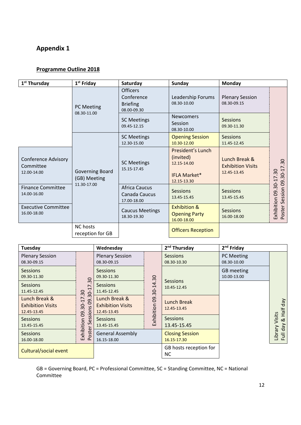# **Appendix 1**

### **Programme Outline 2018**

| 1 <sup>st</sup> Thursday                               | $1st$ Friday                                          | Saturday                                             | <b>Sunday</b>                                                                       | Monday                                                   |                                                          |
|--------------------------------------------------------|-------------------------------------------------------|------------------------------------------------------|-------------------------------------------------------------------------------------|----------------------------------------------------------|----------------------------------------------------------|
|                                                        | <b>PC Meeting</b><br>08.30-11.00                      |                                                      | Leadership Forums<br>08.30-10.00                                                    | <b>Plenary Session</b><br>08.30-09.15                    |                                                          |
|                                                        |                                                       |                                                      | <b>Newcomers</b><br>Session<br>08.30-10.00                                          | Sessions<br>09.30-11.30                                  |                                                          |
|                                                        |                                                       | <b>SC Meetings</b><br>12.30-15.00                    | <b>Opening Session</b><br>10.30-12.00                                               | <b>Sessions</b><br>11.45-12.45                           |                                                          |
| <b>Conference Advisory</b><br>Committee<br>12.00-14.00 | <b>Governing Board</b><br>(GB) Meeting<br>11.30-17.00 | <b>SC Meetings</b><br>15.15-17.45                    | President's Lunch<br>(invited)<br>12.15-14.00<br><b>IFLA Market*</b><br>12.15-13.30 | Lunch Break &<br><b>Exhibition Visits</b><br>12.45-13.45 | Session 09.30-17.30<br>$\overline{30}$<br>$\overline{ }$ |
| <b>Finance Committee</b><br>14.00-16.00                |                                                       | <b>Africa Caucus</b><br>Canada Caucus<br>17.00-18.00 | Sessions<br>13.45-15.45                                                             | <b>Sessions</b><br>13.45-15.45                           | $.30 - 1$<br>09.                                         |
| <b>Executive Committee</b><br>16.00-18.00              |                                                       | <b>Caucus Meetings</b><br>18.30-19.30                | <b>Exhibition &amp;</b><br><b>Opening Party</b><br>16.00-18.00                      | <b>Sessions</b><br>16.00-18.00                           | Exhibition<br>Poster                                     |
|                                                        | NC hosts<br>reception for GB                          |                                                      | <b>Officers Reception</b>                                                           |                                                          |                                                          |

| Tuesday                                                  |                                                            | Wednesday                                                |               | 2 <sup>nd</sup> Thursday              | 2 <sup>nd</sup> Friday         |                            |  |
|----------------------------------------------------------|------------------------------------------------------------|----------------------------------------------------------|---------------|---------------------------------------|--------------------------------|----------------------------|--|
| <b>Plenary Session</b><br>08.30-09.15                    |                                                            | <b>Plenary Session</b><br>08.30-09.15                    |               | <b>Sessions</b><br>08.30-10.30        | PC Meeting<br>08.30-10.00      |                            |  |
| <b>Sessions</b><br>09.30-11.30                           | 30                                                         | <b>Sessions</b><br>09.30-11.30                           | 4.30          |                                       | GB meeting<br>10.00-13.00      |                            |  |
| <b>Sessions</b><br>11.45-12.45                           | $\overline{ }$<br>$\overline{\phantom{0}}$<br>$30 -$<br>30 | <b>Sessions</b><br>11.45-12.45                           |               | $-30 - 1$                             | <b>Sessions</b><br>10.45-12.45 |                            |  |
| Lunch Break &<br><b>Exhibition Visits</b><br>12.45-13.45 | 17<br>$\overline{9}$<br>$\overline{30}$<br>sions<br>80     | Lunch Break &<br><b>Exhibition Visits</b><br>12.45-13.45 | Exhibition 09 | <b>Lunch Break</b><br>12.45-13.45     |                                | Half day                   |  |
| <b>Sessions</b><br>13.45-15.45                           | Ses<br>Exhibition                                          | <b>Sessions</b><br>13.45-15.45                           |               | <b>Sessions</b><br>13.45-15.45        |                                | Visits<br>$\propto$<br>Vep |  |
| <b>Sessions</b><br>16.00-18.00                           | oster<br>$\sim$                                            | <b>General Assembly</b><br>16.15-18.00                   |               | <b>Closing Session</b><br>16.15-17.30 |                                | Library<br>$\bar{a}$       |  |
| Cultural/social event                                    |                                                            |                                                          |               | GB hosts reception for<br><b>NC</b>   |                                |                            |  |

GB = Governing Board, PC = Professional Committee, SC = Standing Committee, NC = National Committee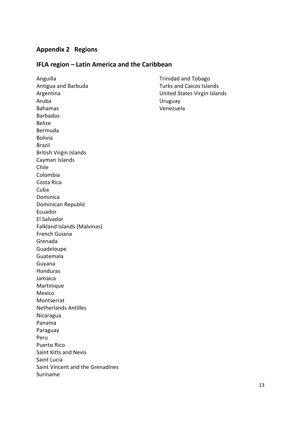## **Appendix 2 Regions**

#### **IFLA region – Latin America and the Caribbean**

Anguilla Antigua and Barbuda Argentina Aruba Bahamas Barbados Belize Bermuda Bolivia Brazil British Virgin Islands Cayman Islands Chile Colombia Costa Rica Cuba Dominica Dominican Republic Ecuador El Salvador Falkland Islands (Malvinas) French Guiana Grenada Guadeloupe Guatemala Guyana Honduras Jamaica **Martinique** Mexico Montserrat Netherlands Antilles Nicaragua Panama Paraguay Peru Puerto Rico Saint Kitts and Nevis Saint Lucia Saint Vincent and the Grenadines Suriname

Trinidad and Tobago Turks and Caicos Islands United States Virgin Islands Uruguay Venezuela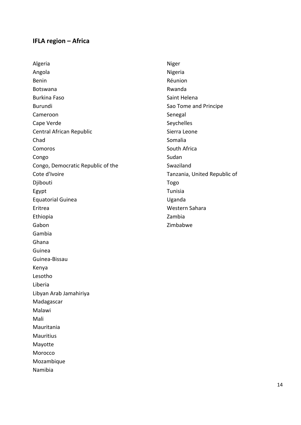## **IFLA region – Africa**

Algeria Angola Benin Botswana Burkina Faso Burundi Cameroon Cape Verde Central African Republic Chad Comoros Congo Congo, Democratic Republic of the Cote d'Ivoire Djibouti Egypt Equatorial Guinea Eritrea Ethiopia Gabon Gambia Ghana Guinea Guinea-Bissau Kenya Lesotho Liberia Libyan Arab Jamahiriya Madagascar Malawi Mali Mauritania Mauritius Mayotte Morocco Mozambique Namibia

Niger Nigeria Réunion Rwanda Saint Helena Sao Tome and Principe Senegal Seychelles Sierra Leone Somalia South Africa Sudan Swaziland Tanzania, United Republic of Togo Tunisia Uganda Western Sahara Zambia Zimbabwe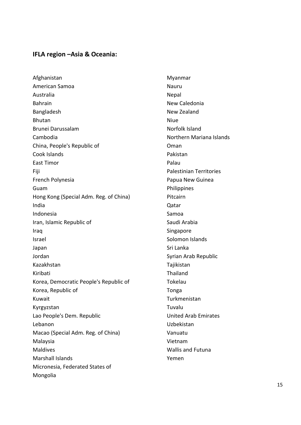## **IFLA region –Asia & Oceania:**

Afghanistan American Samoa Australia Bahrain Bangladesh Bhutan Brunei Darussalam Cambodia China, People's Republic of Cook Islands East Timor Fiji French Polynesia Guam Hong Kong (Special Adm. Reg. of China) India Indonesia Iran, Islamic Republic of Iraq Israel Japan Jordan Kazakhstan Kiribati Korea, Democratic People's Republic of Korea, Republic of Kuwait Kyrgyzstan Lao People's Dem. Republic Lebanon Macao (Special Adm. Reg. of China) Malaysia Maldives Marshall Islands Micronesia, Federated States of Mongolia

Myanmar Nauru Nepal New Caledonia New Zealand Niue Norfolk Island Northern Mariana Islands Oman Pakistan Palau Palestinian Territories Papua New Guinea Philippines Pitcairn Qatar Samoa Saudi Arabia Singapore Solomon Islands Sri Lanka Syrian Arab Republic Tajikistan Thailand Tokelau Tonga Turkmenistan Tuvalu United Arab Emirates Uzbekistan Vanuatu Vietnam Wallis and Futuna Yemen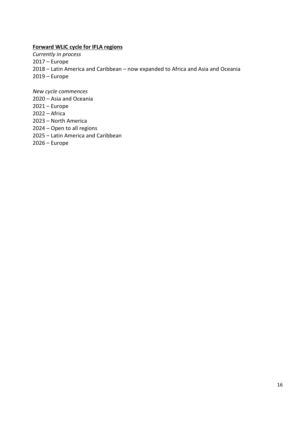#### **Forward WLIC cycle for IFLA regions**

*Currently in process* – Europe – Latin America and Caribbean – now expanded to Africa and Asia and Oceania – Europe

*New cycle commences*

- Asia and Oceania
- Europe
- Africa
- North America
- Open to all regions
- Latin America and Caribbean
- Europe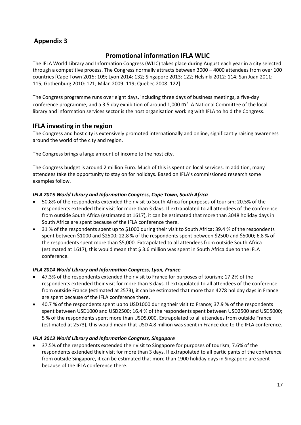## **Appendix 3**

## **Promotional information IFLA WLIC**

The IFLA World Library and Information Congress (WLIC) takes place during August each year in a city selected through a competitive process. The Congress normally attracts between 3000 – 4000 attendees from over 100 countries [Cape Town 2015: 109; Lyon 2014: 132; Singapore 2013: 122; Helsinki 2012: 114; San Juan 2011: 115; Gothenburg 2010: 121; Milan 2009: 119; Quebec 2008: 122]

The Congress programme runs over eight days, including three days of business meetings, a five-day conference programme, and a 3.5 day exhibition of around 1,000  $\text{m}^2$ . A National Committee of the local library and information services sector is the host organisation working with IFLA to hold the Congress.

## **IFLA investing in the region**

The Congress and host city is extensively promoted internationally and online, significantly raising awareness around the world of the city and region.

The Congress brings a large amount of income to the host city.

The Congress budget is around 2 million Euro. Much of this is spent on local services. In addition, many attendees take the opportunity to stay on for holidays. Based on IFLA's commissioned research some examples follow.

#### *IFLA 2015 World Library and Information Congress, Cape Town, South Africa*

- 50.8% of the respondents extended their visit to South Africa for purposes of tourism; 20.5% of the respondents extended their visit for more than 3 days. If extrapolated to all attendees of the conference from outside South Africa (estimated at 1617), it can be estimated that more than 3048 holiday days in South Africa are spent because of the IFLA conference there.
- 31 % of the respondents spent up to \$1000 during their visit to South Africa; 39.4 % of the respondents spent between \$1000 and \$2500; 22.8 % of the respondents spent between \$2500 and \$5000; 6.8 % of the respondents spent more than \$5,000. Extrapolated to all attendees from outside South Africa (estimated at 1617), this would mean that \$ 3.6 million was spent in South Africa due to the IFLA conference.

#### *IFLA 2014 World Library and Information Congress, Lyon, France*

- 47.3% of the respondents extended their visit to France for purposes of tourism; 17.2% of the respondents extended their visit for more than 3 days. If extrapolated to all attendees of the conference from outside France (estimated at 2573), it can be estimated that more than 4278 holiday days in France are spent because of the IFLA conference there.
- 40.7 % of the respondents spent up to USD1000 during their visit to France; 37.9 % of the respondents spent between USD1000 and USD2500; 16.4 % of the respondents spent between USD2500 and USD5000; 5 % of the respondents spent more than USD5,000. Extrapolated to all attendees from outside France (estimated at 2573), this would mean that USD 4.8 million was spent in France due to the IFLA conference.

#### *IFLA 2013 World Library and Information Congress, Singapore*

 37.5% of the respondents extended their visit to Singapore for purposes of tourism; 7.6% of the respondents extended their visit for more than 3 days. If extrapolated to all participants of the conference from outside Singapore, it can be estimated that more than 1900 holiday days in Singapore are spent because of the IFLA conference there.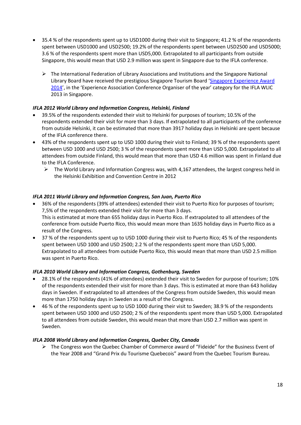- 35.4 % of the respondents spent up to USD1000 during their visit to Singapore; 41.2 % of the respondents spent between USD1000 and USD2500; 19.2% of the respondents spent between USD2500 and USD5000; 3.6 % of the respondents spent more than USD5,000. Extrapolated to all participants from outside Singapore, this would mean that USD 2.9 million was spent in Singapore due to the IFLA conference.
	- $\triangleright$  The International Federation of Library Associations and Institutions and the Singapore National Library Board have received the prestigious Singapore Tourism Board '[Singapore Experience Award](https://www.singaporeexperience.com/)  [2014](https://www.singaporeexperience.com/)', in the 'Experience Association Conference Organiser of the year' category for the IFLA WLIC 2013 in Singapore.

#### *IFLA 2012 World Library and Information Congress, Helsinki, Finland*

- 39.5% of the respondents extended their visit to Helsinki for purposes of tourism; 10.5% of the respondents extended their visit for more than 3 days. If extrapolated to all participants of the conference from outside Helsinki, it can be estimated that more than 3917 holiday days in Helsinki are spent because of the IFLA conference there.
- 43% of the respondents spent up to USD 1000 during their visit to Finland; 39 % of the respondents spent between USD 1000 and USD 2500; 3 % of the respondents spent more than USD 5,000. Extrapolated to all attendees from outside Finland, this would mean that more than USD 4.6 million was spent in Finland due to the IFLA Conference.
	- $\triangleright$  The World Library and Information Congress was, with 4,167 attendees, the largest congress held in the Helsinki Exhibition and Convention Centre in 2012

#### *IFLA 2011 World Library and Information Congress, San Juan, Puerto Rico*

- 36% of the respondents (39% of attendees) extended their visit to Puerto Rico for purposes of tourism; 7,5% of the respondents extended their visit for more than 3 days. This is estimated at more than 655 holiday days in Puerto Rico. If extrapolated to all attendees of the conference from outside Puerto Rico, this would mean more than 1635 holiday days in Puerto Rico as a result of the Congress.
- 37 % of the respondents spent up to USD 1000 during their visit to Puerto Rico; 45 % of the respondents spent between USD 1000 and USD 2500; 2.2 % of the respondents spent more than USD 5,000. Extrapolated to all attendees from outside Puerto Rico, this would mean that more than USD 2.5 million was spent in Puerto Rico.

#### *IFLA 2010 World Library and Information Congress, Gothenburg, Sweden*

- 28.1% of the respondents (41% of attendees) extended their visit to Sweden for purpose of tourism; 10% of the respondents extended their visit for more than 3 days. This is estimated at more than 643 holiday days in Sweden. If extrapolated to all attendees of the Congress from outside Sweden, this would mean more than 1750 holiday days in Sweden as a result of the Congress.
- 46 % of the respondents spent up to USD 1000 during their visit to Sweden; 38.9 % of the respondents spent between USD 1000 and USD 2500; 2 % of the respondents spent more than USD 5,000. Extrapolated to all attendees from outside Sweden, this would mean that more than USD 2.7 million was spent in Sweden.

#### *IFLA 2008 World Library and Information Congress, Quebec City, Canada*

 $\triangleright$  The Congress won the Quebec Chamber of Commerce award of "Fideide" for the Business Event of the Year 2008 and "Grand Prix du Tourisme Quebecois" award from the Quebec Tourism Bureau.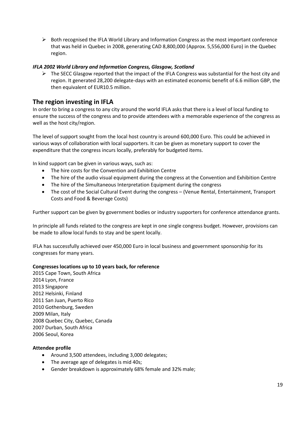$\triangleright$  Both recognised the IFLA World Library and Information Congress as the most important conference that was held in Quebec in 2008, generating CAD 8,800,000 (Approx. 5,556,000 Euro) in the Quebec region.

#### *IFLA 2002 World Library and Information Congress, Glasgow, Scotland*

 $\triangleright$  The SECC Glasgow reported that the impact of the IFLA Congress was substantial for the host city and region. It generated 28,200 delegate-days with an estimated economic benefit of 6.6 million GBP, the then equivalent of EUR10.5 million.

## **The region investing in IFLA**

In order to bring a congress to any city around the world IFLA asks that there is a level of local funding to ensure the success of the congress and to provide attendees with a memorable experience of the congress as well as the host city/region.

The level of support sought from the local host country is around 600,000 Euro. This could be achieved in various ways of collaboration with local supporters. It can be given as monetary support to cover the expenditure that the congress incurs locally, preferably for budgeted items.

In kind support can be given in various ways, such as:

- The hire costs for the Convention and Exhibition Centre
- The hire of the audio visual equipment during the congress at the Convention and Exhibition Centre
- The hire of the Simultaneous Interpretation Equipment during the congress
- The cost of the Social Cultural Event during the congress (Venue Rental, Entertainment, Transport Costs and Food & Beverage Costs)

Further support can be given by government bodies or industry supporters for conference attendance grants.

In principle all funds related to the congress are kept in one single congress budget. However, provisions can be made to allow local funds to stay and be spent locally.

IFLA has successfully achieved over 450,000 Euro in local business and government sponsorship for its congresses for many years.

#### **Congresses locations up to 10 years back, for reference**

2015 Cape Town, South Africa 2014 Lyon, France 2013 Singapore 2012 Helsinki, Finland 2011 San Juan, Puerto Rico 2010 Gothenburg, Sweden 2009 Milan, Italy 2008 Quebec City, Quebec, Canada 2007 Durban, South Africa 2006 Seoul, Korea

#### **Attendee profile**

- Around 3,500 attendees, including 3,000 delegates;
- The average age of delegates is mid 40s;
- Gender breakdown is approximately 68% female and 32% male;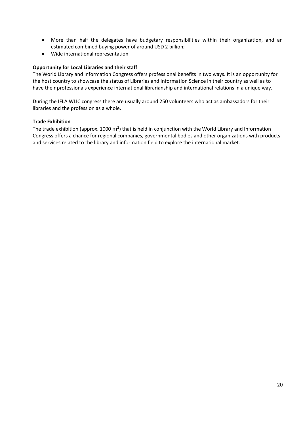- More than half the delegates have budgetary responsibilities within their organization, and an estimated combined buying power of around USD 2 billion;
- Wide international representation

#### **Opportunity for Local Libraries and their staff**

The World Library and Information Congress offers professional benefits in two ways. It is an opportunity for the host country to showcase the status of Libraries and Information Science in their country as well as to have their professionals experience international librarianship and international relations in a unique way.

During the IFLA WLIC congress there are usually around 250 volunteers who act as ambassadors for their libraries and the profession as a whole.

#### **Trade Exhibition**

The trade exhibition (approx. 1000 m<sup>2</sup>) that is held in conjunction with the World Library and Information Congress offers a chance for regional companies, governmental bodies and other organizations with products and services related to the library and information field to explore the international market.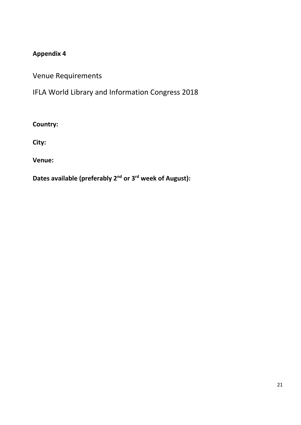## **Appendix 4**

Venue Requirements

IFLA World Library and Information Congress 2018

**Country:**

**City:**

**Venue:**

**Dates available (preferably 2nd or 3rd week of August):**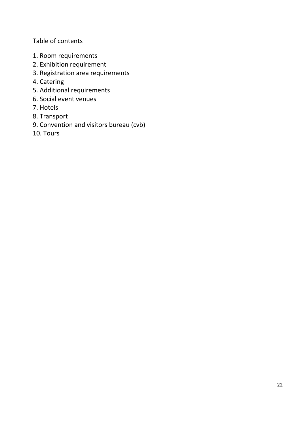Table of contents

- 1. Room requirements
- 2. Exhibition requirement
- 3. Registration area requirements
- 4. Catering
- 5. Additional requirements
- 6. Social event venues
- 7. Hotels
- 8. Transport
- 9. Convention and visitors bureau (cvb)
- 10. Tours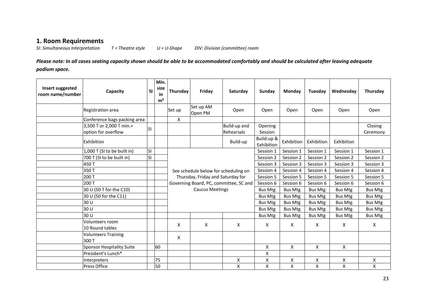## **1. Room Requirements**

*SI: Simultaneous Interpretation T = Theatre style U = U-Shape DIV: Division (committee) room*

*Please note: In all cases seating capacity shown should be able to be accommodated comfortably and should be calculated after leaving adequate podium space.*

| Insert suggested<br>room name/number | Capacity                                        | <b>SI</b> | Min.<br>size<br>in<br>m <sup>2</sup> | Thursday     | Friday                               | Saturday                               | Sunday                   | Monday             | Tuesday        | Wednesday      | Thursday            |
|--------------------------------------|-------------------------------------------------|-----------|--------------------------------------|--------------|--------------------------------------|----------------------------------------|--------------------------|--------------------|----------------|----------------|---------------------|
|                                      | Registration area                               |           |                                      | Set up       | Set up AM<br>Open PM                 | Open                                   | Open                     | Open               | Open           | Open           | Open                |
|                                      | Conference bags packing area                    |           |                                      | $\mathsf{X}$ |                                      |                                        |                          |                    |                |                |                     |
|                                      | 3,500 T or 2,000 T min.+<br>option for overflow | lsı.      |                                      |              |                                      | Build-up and<br>Rehearsals             | Opening<br>Session       |                    |                |                | Closing<br>Ceremony |
|                                      | Exhibition                                      |           |                                      |              |                                      | Build-up                               | Build-up &<br>Exhibition | Exhibition         | Exhibition     | Exhibition     |                     |
|                                      | 1,000 T (SI to be built in)                     | <b>SI</b> |                                      |              |                                      |                                        | Session 1                | Session 1          | Session 1      | Session 1      | Session 1           |
|                                      | 700 T (SI to be built in)                       | lsı       |                                      |              |                                      |                                        | Session 2                | Session 2          | Session 2      | Session 2      | Session 2           |
|                                      | 450T                                            |           |                                      |              |                                      |                                        | Session 3                | Session 3          | Session 3      | Session 3      | Session 3           |
|                                      | 350T                                            |           |                                      |              | See schedule below for scheduling on |                                        | Session 4                | Session 4          | Session 4      | Session 4      | Session 4           |
|                                      | 200 T                                           |           |                                      |              | Thursday, Friday and Saturday for    |                                        | Session 5                | Session 5          | Session 5      | Session 5      | Session 5           |
|                                      | 200 T                                           |           |                                      |              |                                      | Governing Board, PC, committee, SC and | Session 6                | Session 6          | Session 6      | Session 6      | Session 6           |
|                                      | 30 U (50 T for the C10)                         |           |                                      |              | <b>Caucus Meetings</b>               |                                        | Bus Mtg                  | Bus Mtg            | <b>Bus Mtg</b> | Bus Mtg        | <b>Bus Mtg</b>      |
|                                      | 30 U (50 for the C11)                           |           |                                      |              |                                      |                                        | Bus Mtg                  | Bus Mtg            | Bus Mtg        | <b>Bus Mtg</b> | <b>Bus Mtg</b>      |
|                                      | 30 U                                            |           |                                      |              |                                      |                                        | <b>Bus Mtg</b>           | Bus Mtg            | Bus Mtg        | <b>Bus Mtg</b> | <b>Bus Mtg</b>      |
|                                      | 30 U                                            |           |                                      |              |                                      |                                        | <b>Bus Mtg</b>           | <b>Bus Mtg</b>     | Bus Mtg        | <b>Bus Mtg</b> | <b>Bus Mtg</b>      |
|                                      | 30 U                                            |           |                                      |              |                                      |                                        | <b>Bus Mtg</b>           | <b>Bus Mtg</b>     | Bus Mtg        | <b>Bus Mtg</b> | <b>Bus Mtg</b>      |
|                                      | Volunteers room<br>10 Round tables              |           |                                      | X            | X                                    | X                                      | X                        | X                  | X              | X              | X                   |
|                                      | <b>Volunteers Training</b><br>300 T             |           |                                      | X            |                                      |                                        |                          |                    |                |                |                     |
|                                      | Sponsor Hospitality Suite                       |           | 60                                   |              |                                      |                                        | $\mathsf{X}$             | $\mathsf{X}$       | X              | X              |                     |
|                                      | President's Lunch*                              |           |                                      |              |                                      |                                        | $\pmb{\mathsf{X}}$       |                    |                |                |                     |
|                                      | Interpreters                                    |           | 75                                   |              |                                      | X                                      | $\mathsf{X}$             | $\pmb{\mathsf{X}}$ | X              | X              | X                   |
|                                      | <b>Press Office</b>                             |           | 50                                   |              |                                      | X                                      | $\mathsf{X}$             | X                  | X.             | X              | X                   |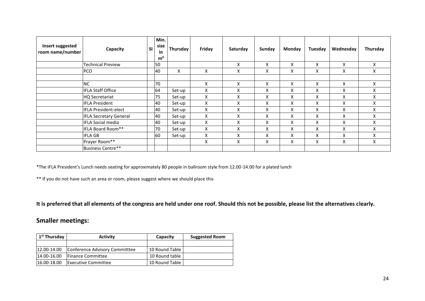| Insert suggested<br>room name/number | Capacity                      | <b>SI</b> | Min.<br>size<br>in<br>m <sup>2</sup> | Thursday | Friday | Saturday | Sunday | <b>Monday</b> | Tuesday | Wednesday | Thursday |
|--------------------------------------|-------------------------------|-----------|--------------------------------------|----------|--------|----------|--------|---------------|---------|-----------|----------|
|                                      | <b>Technical Preview</b>      |           | 50                                   |          |        | X        | X      | X             | X       | X         | X        |
|                                      | PCO                           |           | 40                                   | X        | X      | X        | X      | X             | X       | X         | X        |
|                                      | <b>NC</b>                     |           | 70                                   |          | X      | X        | X      | X             | X       | X         | X        |
|                                      | <b>IFLA Staff Office</b>      |           | 64                                   | Set-up   | X      | X        | X      | X             | X       | X         | X        |
|                                      | <b>HQ Secretariat</b>         |           | 75                                   | Set-up   | X      | X        | X      | X             | X       | X         | X        |
|                                      | <b>IFLA President</b>         |           | 40                                   | Set-up   | X      | X        | X      | X             | X       | X         | X        |
|                                      | <b>IFLA President-elect</b>   |           | 40                                   | Set-up   | X      | X        | X      | X             | X       | X         | X        |
|                                      | <b>IFLA Secretary General</b> |           | 40                                   | Set-up   | X      | X        | X      | X             | X       | X         | X        |
|                                      | <b>IFLA Social media</b>      |           | 40                                   | Set-up   | X      | X        | X      | X             | X       | X         | X        |
|                                      | IFLA Board Room**             |           | 70                                   | Set-up   | X      | X        | X      | X             | X       | X         | X        |
|                                      | <b>IFLA GB</b>                |           | 60                                   | Set-up   | X      | X        | X      | X             | X       | X         | X        |
|                                      | Prayer Room**                 |           |                                      |          | X      | Χ        | Χ      | X             | X       | Χ         | X        |
|                                      | Business Centre**             |           |                                      |          |        |          |        |               |         |           |          |

\*The IFLA President's Lunch needs seating for approximately 80 people in ballroom style from 12.00-14.00 for a plated lunch

\*\* If you do not have such an area or room, please suggest where we should place this

**It is preferred that all elements of the congress are held under one roof. Should this not be possible, please list the alternatives clearly.** 

## **Smaller meetings:**

| 1 <sup>st</sup> Thursday | <b>Activity</b>                | Capacity       | <b>Suggested Room</b> |
|--------------------------|--------------------------------|----------------|-----------------------|
|                          |                                |                |                       |
| 12.00-14.00              | Conference Advisory Committtee | 10 Round Table |                       |
| 14.00-16.00              | <b>IFinance Committee</b>      | 10 Round table |                       |
| $16.00 - 18.00$          | <b>Executive Committee</b>     | 10 Round Table |                       |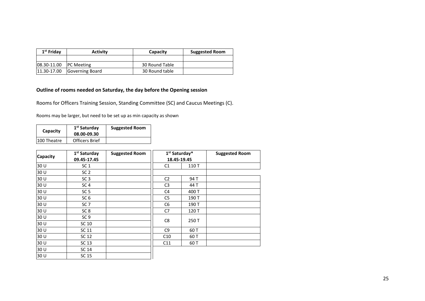| 1 <sup>st</sup> Friday | <b>Activity</b>   | Capacity       | <b>Suggested Room</b> |
|------------------------|-------------------|----------------|-----------------------|
|                        |                   |                |                       |
| $ 08.30 - 11.00 $      | <b>PC Meeting</b> | 30 Round Table |                       |
| $11.30 - 17.00$        | Governing Board   | 30 Round table |                       |

#### **Outline of rooms needed on Saturday, the day before the Opening session**

Rooms for Officers Training Session, Standing Committee (SC) and Caucus Meetings (C).

Rooms may be larger, but need to be set up as min capacity as shown

| Capacity    | 1 <sup>st</sup> Saturday<br>08.00-09.30 | <b>Suggested Room</b> |
|-------------|-----------------------------------------|-----------------------|
| 100 Theatre | Officers Brief                          |                       |

| <b>Capacity</b> | 1 <sup>st</sup> Saturday | <b>Suggested Room</b> |                | 1 <sup>st</sup> Saturday* | <b>Suggested Room</b> |
|-----------------|--------------------------|-----------------------|----------------|---------------------------|-----------------------|
|                 | 09.45-17.45              |                       | 18.45-19.45    |                           |                       |
| 30 U            | SC <sub>1</sub>          |                       | C <sub>1</sub> | 110T                      |                       |
| 30 U            | SC <sub>2</sub>          |                       |                |                           |                       |
| 30 U            | SC <sub>3</sub>          |                       | C <sub>2</sub> | 94 T                      |                       |
| 30 U            | SC <sub>4</sub>          |                       | C <sub>3</sub> | 44 T                      |                       |
| 30 U            | SC <sub>5</sub>          |                       | C4             | 400 T                     |                       |
| 30 U            | SC <sub>6</sub>          |                       | C <sub>5</sub> | 190 T                     |                       |
| 30 U            | SC <sub>7</sub>          |                       | C <sub>6</sub> | 190 T                     |                       |
| 30 U            | SC <sub>8</sub>          |                       | C7             | 120 T                     |                       |
| 30 U            | SC <sub>9</sub>          |                       |                |                           |                       |
| 30 U            | SC 10                    |                       | C8             | 250 T                     |                       |
| 30 U            | SC 11                    |                       | C <sub>9</sub> | 60 T                      |                       |
| 30 U            | SC 12                    |                       | C10            | 60 T                      |                       |
| 30 U            | SC 13                    |                       | C11            | 60 T                      |                       |
| 30 U            | SC 14                    |                       |                |                           |                       |
| 30 U            | SC 15                    |                       |                |                           |                       |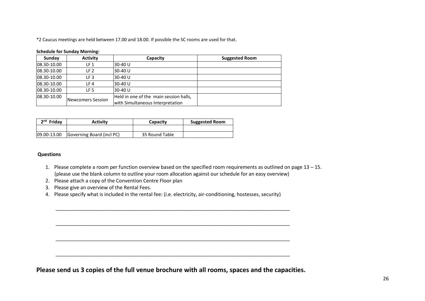\*2 Caucus meetings are held between 17.00 and 18.00. If possible the SC rooms are used for that.

#### **Schedule for Sunday Morning:**

| Sunday      | <b>Activity</b>   | Capacity                                                                   | <b>Suggested Room</b> |
|-------------|-------------------|----------------------------------------------------------------------------|-----------------------|
| 08.30-10.00 | LF 1              | 30-40 U                                                                    |                       |
| 08.30-10.00 | LF 2              | 30-40 U                                                                    |                       |
| 08.30-10.00 | LF <sub>3</sub>   | 30-40 U                                                                    |                       |
| 08.30-10.00 | LF 4              | 30-40 U                                                                    |                       |
| 08.30-10.00 | LF 5              | 30-40 U                                                                    |                       |
| 08.30-10.00 | Newcomers Session | Held in one of the main session halls,<br>with Simultaneous Interpretation |                       |

| $2nd$ Friday | <b>Activity</b>           | <b>Capacity</b> |  |
|--------------|---------------------------|-----------------|--|
|              |                           |                 |  |
| 09.00-13.00  | Governing Board (incl PC) | 35 Round Table  |  |

#### **Questions**

- 1. Please complete a room per function overview based on the specified room requirements as outlined on page 13 15. (please use the blank column to outline your room allocation against our schedule for an easy overview)
- 2. Please attach a copy of the Convention Centre Floor plan
- 3. Please give an overview of the Rental Fees.
- 4. Please specify what is included in the rental fee: (i.e. electricity, air-conditioning, hostesses, security)

\_\_\_\_\_\_\_\_\_\_\_\_\_\_\_\_\_\_\_\_\_\_\_\_\_\_\_\_\_\_\_\_\_\_\_\_\_\_\_\_\_\_\_\_\_\_\_\_\_\_\_\_\_\_\_\_\_\_\_\_\_\_\_\_\_\_\_\_\_\_\_\_\_\_\_\_\_\_\_\_\_\_\_\_

\_\_\_\_\_\_\_\_\_\_\_\_\_\_\_\_\_\_\_\_\_\_\_\_\_\_\_\_\_\_\_\_\_\_\_\_\_\_\_\_\_\_\_\_\_\_\_\_\_\_\_\_\_\_\_\_\_\_\_\_\_\_\_\_\_\_\_\_\_\_\_\_\_\_\_\_\_\_\_\_\_\_\_\_

\_\_\_\_\_\_\_\_\_\_\_\_\_\_\_\_\_\_\_\_\_\_\_\_\_\_\_\_\_\_\_\_\_\_\_\_\_\_\_\_\_\_\_\_\_\_\_\_\_\_\_\_\_\_\_\_\_\_\_\_\_\_\_\_\_\_\_\_\_\_\_\_\_\_\_\_\_\_\_\_\_\_\_\_

\_\_\_\_\_\_\_\_\_\_\_\_\_\_\_\_\_\_\_\_\_\_\_\_\_\_\_\_\_\_\_\_\_\_\_\_\_\_\_\_\_\_\_\_\_\_\_\_\_\_\_\_\_\_\_\_\_\_\_\_\_\_\_\_\_\_\_\_\_\_\_\_\_\_\_\_\_\_\_\_\_\_\_\_

**Please send us 3 copies of the full venue brochure with all rooms, spaces and the capacities.**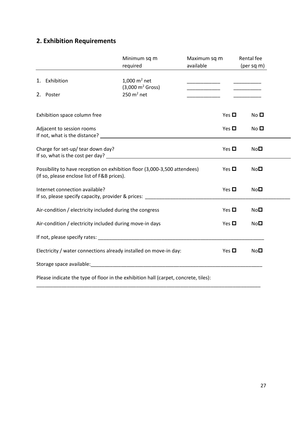# **2. Exhibition Requirements**

|                                                                                                                          | Minimum sq m<br>required                               | Maximum sq m<br>available               |            | Rental fee<br>(per sq m) |
|--------------------------------------------------------------------------------------------------------------------------|--------------------------------------------------------|-----------------------------------------|------------|--------------------------|
| 1. Exhibition                                                                                                            | 1,000 $m^2$ net<br>$(3,000 \text{ m}^2 \text{ Gross})$ |                                         |            | ________                 |
| 2. Poster                                                                                                                | $250 \text{ m}^2$ net                                  | <u> 1990 - Johann Barbara, martin a</u> |            |                          |
| Exhibition space column free                                                                                             |                                                        |                                         | Yes $\Box$ | No <sub>D</sub>          |
| Adjacent to session rooms                                                                                                |                                                        |                                         | Yes $\Box$ | No <sub>1</sub>          |
| Charge for set-up/ tear down day?                                                                                        |                                                        |                                         | Yes $\Box$ | No <b>□</b>              |
| Possibility to have reception on exhibition floor (3,000-3,500 attendees)<br>(If so, please enclose list of F&B prices). |                                                        |                                         | Yes $\Box$ | NoD                      |
| Internet connection available?                                                                                           |                                                        |                                         | Yes $\Box$ | NoD                      |
| Air-condition / electricity included during the congress                                                                 |                                                        |                                         | Yes $\Box$ | NoD                      |
| Air-condition / electricity included during move-in days                                                                 |                                                        |                                         | Yes $\Box$ | NoD                      |
|                                                                                                                          |                                                        |                                         |            |                          |
| Electricity / water connections already installed on move-in day:                                                        |                                                        |                                         | Yes $\Box$ | NoD                      |
| Storage space available: Storage space available:                                                                        |                                                        |                                         |            |                          |
| Please indicate the type of floor in the exhibition hall (carpet, concrete, tiles):                                      |                                                        |                                         |            |                          |

\_\_\_\_\_\_\_\_\_\_\_\_\_\_\_\_\_\_\_\_\_\_\_\_\_\_\_\_\_\_\_\_\_\_\_\_\_\_\_\_\_\_\_\_\_\_\_\_\_\_\_\_\_\_\_\_\_\_\_\_\_\_\_\_\_\_\_\_\_\_\_\_\_\_\_\_\_\_\_\_\_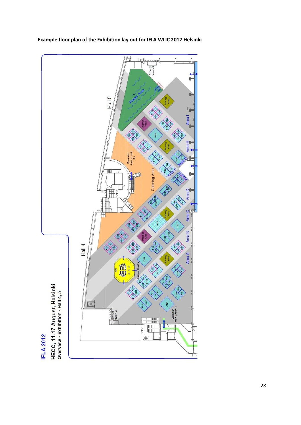

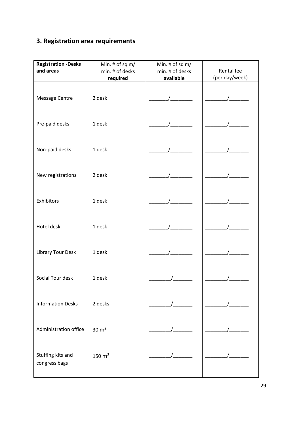# **3. Registration area requirements**

| <b>Registration -Desks</b><br>and areas | Min. $#$ of sq m/<br>min. # of desks<br>required | Min. $#$ of sq m/<br>min. # of desks<br>available | Rental fee<br>(per day/week) |
|-----------------------------------------|--------------------------------------------------|---------------------------------------------------|------------------------------|
| Message Centre                          | 2 desk                                           |                                                   |                              |
| Pre-paid desks                          | 1 desk                                           |                                                   |                              |
| Non-paid desks                          | 1 desk                                           |                                                   |                              |
| New registrations                       | 2 desk                                           |                                                   |                              |
| Exhibitors                              | 1 desk                                           |                                                   |                              |
| Hotel desk                              | 1 desk                                           |                                                   |                              |
| Library Tour Desk                       | 1 desk                                           |                                                   |                              |
| Social Tour desk                        | 1 desk                                           |                                                   |                              |
| <b>Information Desks</b>                | 2 desks                                          |                                                   |                              |
| Administration office                   | $30 \text{ m}^2$                                 |                                                   |                              |
| Stuffing kits and<br>congress bags      | $150 \text{ m}^2$                                |                                                   |                              |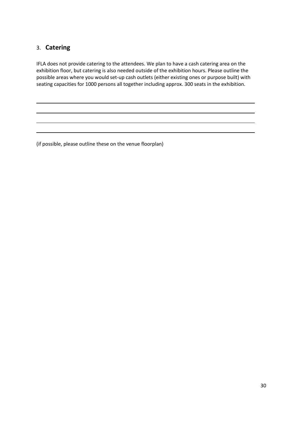## 3. **Catering**

IFLA does not provide catering to the attendees. We plan to have a cash catering area on the exhibition floor, but catering is also needed outside of the exhibition hours. Please outline the possible areas where you would set-up cash outlets (either existing ones or purpose built) with seating capacities for 1000 persons all together including approx. 300 seats in the exhibition.

(if possible, please outline these on the venue floorplan)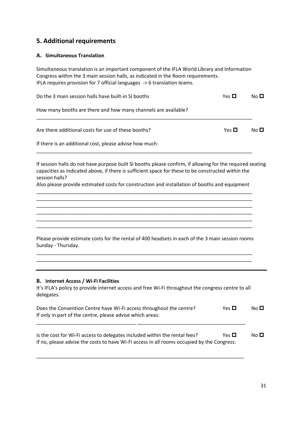## **5. Additional requirements**

#### **A. Simultaneous Translation**

Simultaneous translation is an important component of the IFLA World Library and Information Congress within the 3 main session halls, as indicated in the Room requirements. IFLA requires provision for 7 official languages -> 6 translation teams.

| Do the 3 main session halls have built-in SI booths            | Yes $\Box$ | No <sub>D</sub> |
|----------------------------------------------------------------|------------|-----------------|
| How many booths are there and how many channels are available? |            |                 |
| Are there additional costs for use of these booths?            | Yes $\Box$ | No <sub>D</sub> |
| If there is an additional cost, please advise how much:        |            |                 |

If session halls do not have purpose built SI booths please confirm, if allowing for the required seating capacities as indicated above, if there is sufficient space for these to be constructed within the session halls?

Also please provide estimated costs for construction and installation of booths and equipment \_\_\_\_\_\_\_\_\_\_\_\_\_\_\_\_\_\_\_\_\_\_\_\_\_\_\_\_\_\_\_\_\_\_\_\_\_\_\_\_\_\_\_\_\_\_\_\_\_\_\_\_\_\_\_\_\_\_\_\_\_\_\_\_\_\_\_\_\_\_\_\_\_\_\_\_\_\_

\_\_\_\_\_\_\_\_\_\_\_\_\_\_\_\_\_\_\_\_\_\_\_\_\_\_\_\_\_\_\_\_\_\_\_\_\_\_\_\_\_\_\_\_\_\_\_\_\_\_\_\_\_\_\_\_\_\_\_\_\_\_\_\_\_\_\_\_\_\_\_\_\_\_\_\_\_\_ \_\_\_\_\_\_\_\_\_\_\_\_\_\_\_\_\_\_\_\_\_\_\_\_\_\_\_\_\_\_\_\_\_\_\_\_\_\_\_\_\_\_\_\_\_\_\_\_\_\_\_\_\_\_\_\_\_\_\_\_\_\_\_\_\_\_\_\_\_\_\_\_\_\_\_\_\_\_

\_\_\_\_\_\_\_\_\_\_\_\_\_\_\_\_\_\_\_\_\_\_\_\_\_\_\_\_\_\_\_\_\_\_\_\_\_\_\_\_\_\_\_\_\_\_\_\_\_\_\_\_\_\_\_\_\_\_\_\_\_\_\_\_\_\_\_\_\_\_\_\_\_\_\_\_\_\_

\_\_\_\_\_\_\_\_\_\_\_\_\_\_\_\_\_\_\_\_\_\_\_\_\_\_\_\_\_\_\_\_\_\_\_\_\_\_\_\_\_\_\_\_\_\_\_\_\_\_\_\_\_\_\_\_\_\_\_\_\_\_\_\_\_\_\_\_\_\_\_\_\_\_\_\_\_\_ \_\_\_\_\_\_\_\_\_\_\_\_\_\_\_\_\_\_\_\_\_\_\_\_\_\_\_\_\_\_\_\_\_\_\_\_\_\_\_\_\_\_\_\_\_\_\_\_\_\_\_\_\_\_\_\_\_\_\_\_\_\_\_\_\_\_\_\_\_\_\_\_\_\_\_\_\_\_ \_\_\_\_\_\_\_\_\_\_\_\_\_\_\_\_\_\_\_\_\_\_\_\_\_\_\_\_\_\_\_\_\_\_\_\_\_\_\_\_\_\_\_\_\_\_\_\_\_\_\_\_\_\_\_\_\_\_\_\_\_\_\_\_\_\_\_\_\_\_\_\_\_\_\_\_\_\_ Please provide estimate costs for the rental of 400 headsets in each of the 3 main session rooms Sunday - Thursday. \_\_\_\_\_\_\_\_\_\_\_\_\_\_\_\_\_\_\_\_\_\_\_\_\_\_\_\_\_\_\_\_\_\_\_\_\_\_\_\_\_\_\_\_\_\_\_\_\_\_\_\_\_\_\_\_\_\_\_\_\_\_\_\_\_\_\_\_\_\_\_\_\_\_\_\_\_\_ \_\_\_\_\_\_\_\_\_\_\_\_\_\_\_\_\_\_\_\_\_\_\_\_\_\_\_\_\_\_\_\_\_\_\_\_\_\_\_\_\_\_\_\_\_\_\_\_\_\_\_\_\_\_\_\_\_\_\_\_\_\_\_\_\_\_\_\_\_\_\_\_\_\_\_\_\_\_

#### **B. Internet Access / Wi-Fi Facilities**

It's IFLA's policy to provide internet access and free Wi-Fi throughout the congress centre to all delegates.

| Does the Convention Centre have Wi-Fi access throughout the centre? | Yes $\Box$ | No <sub>D</sub> |
|---------------------------------------------------------------------|------------|-----------------|
| If only in part of the centre, please advise which areas:           |            |                 |
|                                                                     |            |                 |

Is the cost for Wi-Fi access to delegates included within the rental fees?  $\Box$  No  $\Box$ If no, please advise the costs to have Wi-Fi access in all rooms occupied by the Congress:

\_\_\_\_\_\_\_\_\_\_\_\_\_\_\_\_\_\_\_\_\_\_\_\_\_\_\_\_\_\_\_\_\_\_\_\_\_\_\_\_\_\_\_\_\_\_\_\_\_\_\_\_\_\_\_\_\_\_\_\_\_\_\_\_\_\_\_\_\_\_\_\_\_\_\_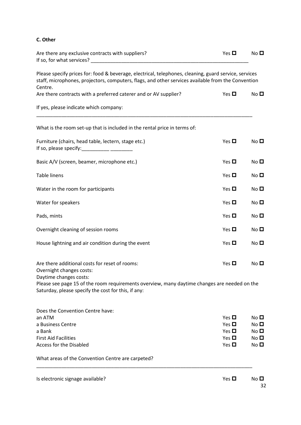### **C. Other**

| Are there any exclusive contracts with suppliers?<br>If so, for what services?                                                                                                                                                                                                                                                                                        | Yes $\Box$               | No $\square$                 |
|-----------------------------------------------------------------------------------------------------------------------------------------------------------------------------------------------------------------------------------------------------------------------------------------------------------------------------------------------------------------------|--------------------------|------------------------------|
| Please specify prices for: food & beverage, electrical, telephones, cleaning, guard service, services<br>staff, microphones, projectors, computers, flags, and other services available from the Convention<br>Centre.                                                                                                                                                |                          |                              |
| Are there contracts with a preferred caterer and or AV supplier?                                                                                                                                                                                                                                                                                                      | Yes $\Box$               | No <sub>1</sub>              |
| If yes, please indicate which company:                                                                                                                                                                                                                                                                                                                                |                          |                              |
| What is the room set-up that is included in the rental price in terms of:                                                                                                                                                                                                                                                                                             |                          |                              |
| Furniture (chairs, head table, lectern, stage etc.)<br>If so, please specify: $\frac{1}{2}$ $\frac{1}{2}$ $\frac{1}{2}$ $\frac{1}{2}$ $\frac{1}{2}$ $\frac{1}{2}$ $\frac{1}{2}$ $\frac{1}{2}$ $\frac{1}{2}$ $\frac{1}{2}$ $\frac{1}{2}$ $\frac{1}{2}$ $\frac{1}{2}$ $\frac{1}{2}$ $\frac{1}{2}$ $\frac{1}{2}$ $\frac{1}{2}$ $\frac{1}{2}$ $\frac{1}{2}$ $\frac{1}{2}$ | Yes $\Box$               | No $\Box$                    |
| Basic A/V (screen, beamer, microphone etc.)                                                                                                                                                                                                                                                                                                                           | Yes $\Box$               | No $\Box$                    |
| <b>Table linens</b>                                                                                                                                                                                                                                                                                                                                                   | Yes $\Box$               | No <sub>1</sub>              |
| Water in the room for participants                                                                                                                                                                                                                                                                                                                                    | Yes $\Box$               | No <sub>D</sub>              |
| Water for speakers                                                                                                                                                                                                                                                                                                                                                    | Yes $\Box$               | No $\Box$                    |
| Pads, mints                                                                                                                                                                                                                                                                                                                                                           | Yes $\Box$               | No $\Box$                    |
| Overnight cleaning of session rooms                                                                                                                                                                                                                                                                                                                                   | Yes $\Box$               | No $\Box$                    |
| House lightning and air condition during the event                                                                                                                                                                                                                                                                                                                    | Yes $\Box$               | No <sub>1</sub>              |
| Are there additional costs for reset of rooms:<br>Overnight changes costs:<br>Daytime changes costs:                                                                                                                                                                                                                                                                  | Yes $\Box$               | No $\Box$                    |
| Please see page 15 of the room requirements overview, many daytime changes are needed on the<br>Saturday, please specify the cost for this, if any:                                                                                                                                                                                                                   |                          |                              |
| Does the Convention Centre have:                                                                                                                                                                                                                                                                                                                                      |                          |                              |
| an ATM                                                                                                                                                                                                                                                                                                                                                                | Yes $\Box$               | No $\Box$                    |
| a Business Centre<br>a Bank                                                                                                                                                                                                                                                                                                                                           | Yes $\Box$<br>Yes $\Box$ | No $\square$<br>No $\square$ |
| <b>First Aid Facilities</b>                                                                                                                                                                                                                                                                                                                                           | Yes $\Box$               | No $\square$                 |
| <b>Access for the Disabled</b>                                                                                                                                                                                                                                                                                                                                        | Yes $\Box$               | No $\square$                 |
| What areas of the Convention Centre are carpeted?                                                                                                                                                                                                                                                                                                                     |                          |                              |
| Is electronic signage available?                                                                                                                                                                                                                                                                                                                                      | Yes $\Box$               | No $\Box$<br>32              |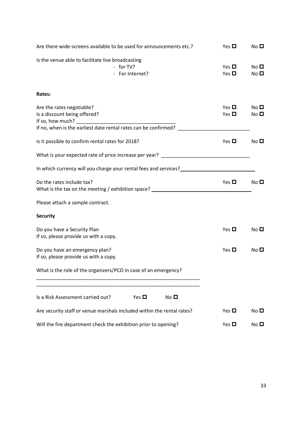| Are there wide-screens available to be used for announcements etc.?                                                                                              | Yes $\Box$               | No $\square$                    |
|------------------------------------------------------------------------------------------------------------------------------------------------------------------|--------------------------|---------------------------------|
| Is the venue able to facilitate live broadcasting<br>- for TV?<br>- For Internet?                                                                                | Yes $\Box$<br>Yes $\Box$ | No $\square$<br>No $\square$    |
| Rates:                                                                                                                                                           |                          |                                 |
| Are the rates negotiable?<br>Is a discount being offered?<br>If so, how much? $\qquad \qquad$<br>If no, when is the earliest date rental rates can be confirmed? | Yes $\Box$<br>Yes $\Box$ | No <sub>1</sub><br>No $\square$ |
| Is it possible to confirm rental rates for 2018?                                                                                                                 | Yes $\Box$               | No $\Box$                       |
| What is your expected rate of price increase per year? _________________________                                                                                 |                          |                                 |
| In which currency will you charge your rental fees and services?<br>                                                                                             |                          |                                 |
| Do the rates include tax?<br>What is the tax on the meeting / exhibition space? _____________________________                                                    | Yes $\Box$               | No $\square$                    |
| Please attach a sample contract.                                                                                                                                 |                          |                                 |
| <b>Security</b>                                                                                                                                                  |                          |                                 |
| Do you have a Security Plan<br>If so, please provide us with a copy.                                                                                             | Yes $\Box$               | No $\square$                    |
| Do you have an emergency plan?<br>If so, please provide us with a copy.                                                                                          | Yes $\Box$               | No $\square$                    |
| What is the role of the organizers/PCO in case of an emergency?                                                                                                  |                          |                                 |
| Is a Risk Assessment carried out?<br>Yes $\Box$<br>No $\square$                                                                                                  |                          |                                 |
| Are security staff or venue marshals included within the rental rates?                                                                                           | Yes $\Box$               | No $\square$                    |
| Will the fire department check the exhibition prior to opening?                                                                                                  | Yes $\Box$               | No $\square$                    |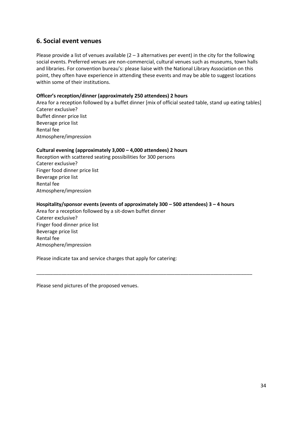## **6. Social event venues**

Please provide a list of venues available  $(2 - 3$  alternatives per event) in the city for the following social events. Preferred venues are non-commercial, cultural venues such as museums, town halls and libraries. For convention bureau's: please liaise with the National Library Association on this point, they often have experience in attending these events and may be able to suggest locations within some of their institutions.

#### **Officer's reception/dinner (approximately 250 attendees) 2 hours**

Area for a reception followed by a buffet dinner [mix of official seated table, stand up eating tables] Caterer exclusive? Buffet dinner price list Beverage price list Rental fee Atmosphere/impression

#### **Cultural evening (approximately 3,000 – 4,000 attendees) 2 hours**

Reception with scattered seating possibilities for 300 persons Caterer exclusive? Finger food dinner price list Beverage price list Rental fee Atmosphere/impression

#### **Hospitality/sponsor events (events of approximately 300 – 500 attendees) 3 – 4 hours**

\_\_\_\_\_\_\_\_\_\_\_\_\_\_\_\_\_\_\_\_\_\_\_\_\_\_\_\_\_\_\_\_\_\_\_\_\_\_\_\_\_\_\_\_\_\_\_\_\_\_\_\_\_\_\_\_\_\_\_\_\_\_\_\_\_\_\_\_\_\_\_\_\_\_\_\_\_\_

Area for a reception followed by a sit-down buffet dinner Caterer exclusive? Finger food dinner price list Beverage price list Rental fee Atmosphere/impression

Please indicate tax and service charges that apply for catering:

Please send pictures of the proposed venues.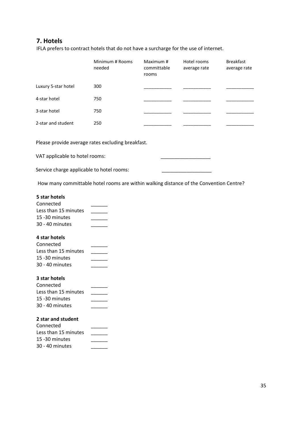## **7. Hotels**

IFLA prefers to contract hotels that do not have a surcharge for the use of internet.

|                     | Minimum # Rooms<br>needed | Maximum #<br>committable<br>rooms | Hotel rooms<br>average rate | <b>Breakfast</b><br>average rate |
|---------------------|---------------------------|-----------------------------------|-----------------------------|----------------------------------|
| Luxury 5-star hotel | 300                       |                                   |                             |                                  |
| 4-star hotel        | 750                       |                                   |                             |                                  |
| 3-star hotel        | 750                       |                                   |                             |                                  |
| 2-star and student  | 250                       |                                   |                             |                                  |

Please provide average rates excluding breakfast.

VAT applicable to hotel rooms:

Service charge applicable to hotel rooms:

How many committable hotel rooms are within walking distance of the Convention Centre?

#### **5 star hotels**

| Connected            |  |
|----------------------|--|
| Less than 15 minutes |  |
| 15 - 30 minutes      |  |
| 30 - 40 minutes      |  |

#### **4 star hotels**

| Connected            |  |
|----------------------|--|
| Less than 15 minutes |  |
| 15 - 30 minutes      |  |
| $30 - 40$ minutes    |  |

#### **3 star hotels**

| Connected            |  |
|----------------------|--|
| Less than 15 minutes |  |
| 15 -30 minutes       |  |
| 30 - 40 minutes      |  |

### **2 star and student**

| Connected            |  |
|----------------------|--|
| Less than 15 minutes |  |
| 15 -30 minutes       |  |
| 30 - 40 minutes      |  |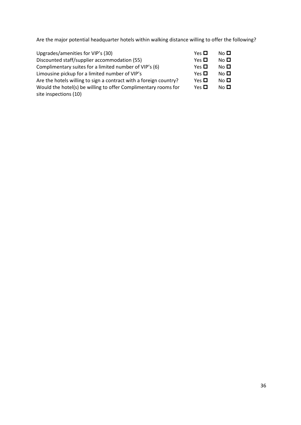Are the major potential headquarter hotels within walking distance willing to offer the following?

| Yes $\Box$ | No <sub>1</sub> |
|------------|-----------------|
| Yes $\Box$ | No <sub>1</sub> |
| Yes $\Box$ | No <sub>1</sub> |
| Yes $\Box$ | No <sub>1</sub> |
| Yes $\Box$ | No <sub>1</sub> |
| Yes $\Box$ | No <sub>1</sub> |
|            |                 |
|            |                 |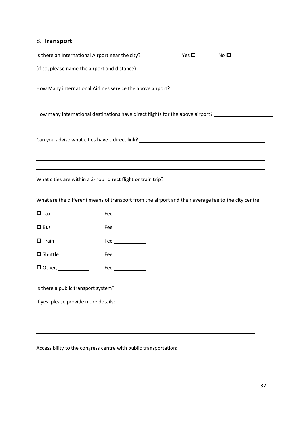## 8**. Transport**

|                                                                                                     | Is there an International Airport near the city?                                                                                                 | Yes $\Box$ | No <sub>D</sub> |  |  |  |  |
|-----------------------------------------------------------------------------------------------------|--------------------------------------------------------------------------------------------------------------------------------------------------|------------|-----------------|--|--|--|--|
|                                                                                                     | (if so, please name the airport and distance)                                                                                                    |            |                 |  |  |  |  |
|                                                                                                     | How Many international Airlines service the above airport? ______________________                                                                |            |                 |  |  |  |  |
| How many international destinations have direct flights for the above airport? ____________________ |                                                                                                                                                  |            |                 |  |  |  |  |
|                                                                                                     | Can you advise what cities have a direct link? _________________________________                                                                 |            |                 |  |  |  |  |
|                                                                                                     | ,我们也不会有什么。""我们的人,我们也不会有什么?""我们的人,我们也不会有什么?""我们的人,我们也不会有什么?""我们的人,我们也不会有什么?""我们的人<br>What cities are within a 3-hour direct flight or train trip? |            |                 |  |  |  |  |
|                                                                                                     |                                                                                                                                                  |            |                 |  |  |  |  |
|                                                                                                     | What are the different means of transport from the airport and their average fee to the city centre                                              |            |                 |  |  |  |  |
| $\blacksquare$ Taxi                                                                                 | Fee $\qquad \qquad$                                                                                                                              |            |                 |  |  |  |  |
| $\Box$ Bus                                                                                          | Fee $\_\_$                                                                                                                                       |            |                 |  |  |  |  |
| $\Box$ Train                                                                                        | Fee $\_\_$                                                                                                                                       |            |                 |  |  |  |  |
| $\Box$ Shuttle                                                                                      | Fee $\_\_$                                                                                                                                       |            |                 |  |  |  |  |
| $\blacksquare$ Other, $\blacksquare$                                                                | Fee $\qquad \qquad$                                                                                                                              |            |                 |  |  |  |  |
|                                                                                                     |                                                                                                                                                  |            |                 |  |  |  |  |
|                                                                                                     |                                                                                                                                                  |            |                 |  |  |  |  |
|                                                                                                     |                                                                                                                                                  |            |                 |  |  |  |  |
|                                                                                                     |                                                                                                                                                  |            |                 |  |  |  |  |

Accessibility to the congress centre with public transportation: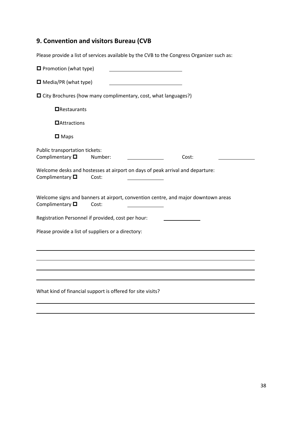## **9. Convention and visitors Bureau (CVB**

Please provide a list of services available by the CVB to the Congress Organizer such as:

| $\blacksquare$ Promotion (what type)                                                                          |         |       |  |
|---------------------------------------------------------------------------------------------------------------|---------|-------|--|
| $\Box$ Media/PR (what type)                                                                                   |         |       |  |
| $\Box$ City Brochures (how many complimentary, cost, what languages?)                                         |         |       |  |
| $\Box$ Restaurants                                                                                            |         |       |  |
| $\blacksquare$ Attractions                                                                                    |         |       |  |
| $\Box$ Maps                                                                                                   |         |       |  |
| Public transportation tickets:<br>Complimentary $\square$                                                     | Number: | Cost: |  |
| Welcome desks and hostesses at airport on days of peak arrival and departure:<br>Complimentary $\blacksquare$ | Cost:   |       |  |
| Welcome signs and banners at airport, convention centre, and major downtown areas<br>Complimentary $\square$  | Cost:   |       |  |
| Registration Personnel if provided, cost per hour:                                                            |         |       |  |
| Please provide a list of suppliers or a directory:                                                            |         |       |  |
|                                                                                                               |         |       |  |
|                                                                                                               |         |       |  |
|                                                                                                               |         |       |  |
| What kind of financial support is offered for site visits?                                                    |         |       |  |